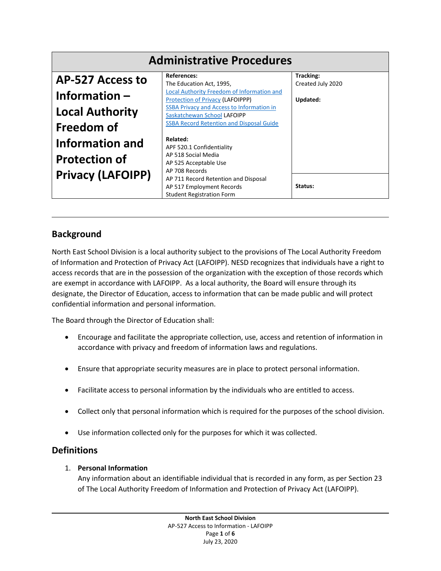| <b>Administrative Procedures</b> |                                                                        |                   |
|----------------------------------|------------------------------------------------------------------------|-------------------|
| <b>AP-527 Access to</b>          | <b>References:</b>                                                     | Tracking:         |
|                                  | The Education Act, 1995,<br>Local Authority Freedom of Information and | Created July 2020 |
| Information $-$                  | Protection of Privacy (LAFOIPPP)                                       | Updated:          |
|                                  | <b>SSBA Privacy and Access to Information in</b>                       |                   |
| <b>Local Authority</b>           | Saskatchewan School LAFOIPP                                            |                   |
| <b>Freedom of</b>                | <b>SSBA Record Retention and Disposal Guide</b>                        |                   |
| <b>Information and</b>           | Related:                                                               |                   |
|                                  | APF 520.1 Confidentiality                                              |                   |
| <b>Protection of</b>             | AP 518 Social Media                                                    |                   |
|                                  | AP 525 Acceptable Use                                                  |                   |
| <b>Privacy (LAFOIPP)</b>         | AP 708 Records                                                         |                   |
|                                  | AP 711 Record Retention and Disposal                                   |                   |
|                                  | AP 517 Employment Records                                              | Status:           |
|                                  | <b>Student Registration Form</b>                                       |                   |

# **Background**

North East School Division is a local authority subject to the provisions of The Local Authority Freedom of Information and Protection of Privacy Act (LAFOIPP). NESD recognizes that individuals have a right to access records that are in the possession of the organization with the exception of those records which are exempt in accordance with LAFOIPP. As a local authority, the Board will ensure through its designate, the Director of Education, access to information that can be made public and will protect confidential information and personal information.

The Board through the Director of Education shall:

- Encourage and facilitate the appropriate collection, use, access and retention of information in accordance with privacy and freedom of information laws and regulations.
- Ensure that appropriate security measures are in place to protect personal information.
- Facilitate access to personal information by the individuals who are entitled to access.
- Collect only that personal information which is required for the purposes of the school division.
- Use information collected only for the purposes for which it was collected.

## **Definitions**

### 1. **Personal Information**

Any information about an identifiable individual that is recorded in any form, as per Section 23 of The Local Authority Freedom of Information and Protection of Privacy Act (LAFOIPP).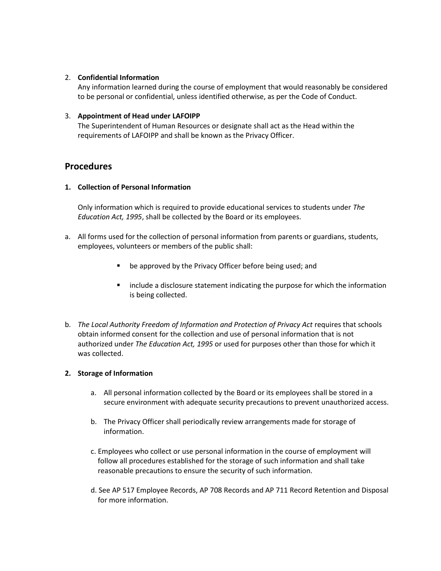#### 2. **Confidential Information**

Any information learned during the course of employment that would reasonably be considered to be personal or confidential, unless identified otherwise, as per the Code of Conduct.

#### 3. **Appointment of Head under LAFOIPP**

The Superintendent of Human Resources or designate shall act as the Head within the requirements of LAFOIPP and shall be known as the Privacy Officer.

## **Procedures**

#### **1. Collection of Personal Information**

Only information which is required to provide educational services to students under *The Education Act, 1995*, shall be collected by the Board or its employees.

- a. All forms used for the collection of personal information from parents or guardians, students, employees, volunteers or members of the public shall:
	- be approved by the Privacy Officer before being used; and
	- **EXED** include a disclosure statement indicating the purpose for which the information is being collected.
- b. *The Local Authority Freedom of Information and Protection of Privacy Act requires that schools* obtain informed consent for the collection and use of personal information that is not authorized under *The Education Act, 1995* or used for purposes other than those for which it was collected.

#### **2. Storage of Information**

- a. All personal information collected by the Board or its employees shall be stored in a secure environment with adequate security precautions to prevent unauthorized access.
- b. The Privacy Officer shall periodically review arrangements made for storage of information.
- c. Employees who collect or use personal information in the course of employment will follow all procedures established for the storage of such information and shall take reasonable precautions to ensure the security of such information.
- d. See AP 517 Employee Records, AP 708 Records and AP 711 Record Retention and Disposal for more information.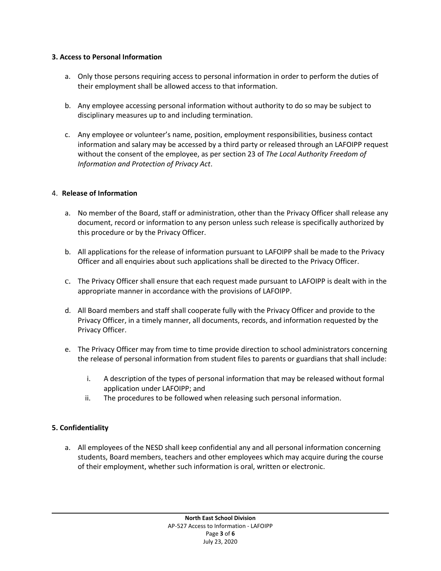#### **3. Access to Personal Information**

- a. Only those persons requiring access to personal information in order to perform the duties of their employment shall be allowed access to that information.
- b. Any employee accessing personal information without authority to do so may be subject to disciplinary measures up to and including termination.
- c. Any employee or volunteer's name, position, employment responsibilities, business contact information and salary may be accessed by a third party or released through an LAFOIPP request without the consent of the employee, as per section 23 of *The Local Authority Freedom of Information and Protection of Privacy Act*.

#### 4. **Release of Information**

- a. No member of the Board, staff or administration, other than the Privacy Officer shall release any document, record or information to any person unless such release is specifically authorized by this procedure or by the Privacy Officer.
- b. All applications for the release of information pursuant to LAFOIPP shall be made to the Privacy Officer and all enquiries about such applications shall be directed to the Privacy Officer.
- c. The Privacy Officer shall ensure that each request made pursuant to LAFOIPP is dealt with in the appropriate manner in accordance with the provisions of LAFOIPP.
- d. All Board members and staff shall cooperate fully with the Privacy Officer and provide to the Privacy Officer, in a timely manner, all documents, records, and information requested by the Privacy Officer.
- e. The Privacy Officer may from time to time provide direction to school administrators concerning the release of personal information from student files to parents or guardians that shall include:
	- i. A description of the types of personal information that may be released without formal application under LAFOIPP; and
	- ii. The procedures to be followed when releasing such personal information.

#### **5. Confidentiality**

a. All employees of the NESD shall keep confidential any and all personal information concerning students, Board members, teachers and other employees which may acquire during the course of their employment, whether such information is oral, written or electronic.